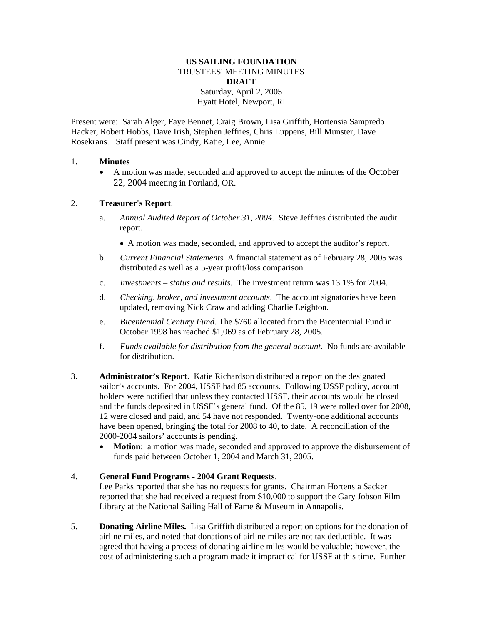### **US SAILING FOUNDATION**  TRUSTEES' MEETING MINUTES **DRAFT**  Saturday, April 2, 2005 Hyatt Hotel, Newport, RI

Present were: Sarah Alger, Faye Bennet, Craig Brown, Lisa Griffith, Hortensia Sampredo Hacker, Robert Hobbs, Dave Irish, Stephen Jeffries, Chris Luppens, Bill Munster, Dave Rosekrans. Staff present was Cindy, Katie, Lee, Annie.

### 1. **Minutes**

• A motion was made, seconded and approved to accept the minutes of the October 22, 2004 meeting in Portland, OR.

# 2. **Treasurer's Report**.

- a. *Annual Audited Report of October 31, 2004.* Steve Jeffries distributed the audit report.
	- A motion was made, seconded, and approved to accept the auditor's report.
- b. *Current Financial Statements.* A financial statement as of February 28, 2005 was distributed as well as a 5-year profit/loss comparison.
- c. *Investments status and results.* The investment return was 13.1% for 2004.
- d. *Checking, broker, and investment accounts*. The account signatories have been updated, removing Nick Craw and adding Charlie Leighton.
- e. *Bicentennial Century Fund.* The \$760 allocated from the Bicentennial Fund in October 1998 has reached \$1,069 as of February 28, 2005.
- f. *Funds available for distribution from the general account.* No funds are available for distribution.
- 3. **Administrator's Report**. Katie Richardson distributed a report on the designated sailor's accounts. For 2004, USSF had 85 accounts. Following USSF policy, account holders were notified that unless they contacted USSF, their accounts would be closed and the funds deposited in USSF's general fund. Of the 85, 19 were rolled over for 2008, 12 were closed and paid, and 54 have not responded. Twenty-one additional accounts have been opened, bringing the total for 2008 to 40, to date. A reconciliation of the 2000-2004 sailors' accounts is pending.
	- **Motion**: a motion was made, seconded and approved to approve the disbursement of funds paid between October 1, 2004 and March 31, 2005.

# 4. **General Fund Programs - 2004 Grant Requests**.

Lee Parks reported that she has no requests for grants. Chairman Hortensia Sacker reported that she had received a request from \$10,000 to support the Gary Jobson Film Library at the National Sailing Hall of Fame & Museum in Annapolis.

5. **Donating Airline Miles.** Lisa Griffith distributed a report on options for the donation of airline miles, and noted that donations of airline miles are not tax deductible. It was agreed that having a process of donating airline miles would be valuable; however, the cost of administering such a program made it impractical for USSF at this time. Further